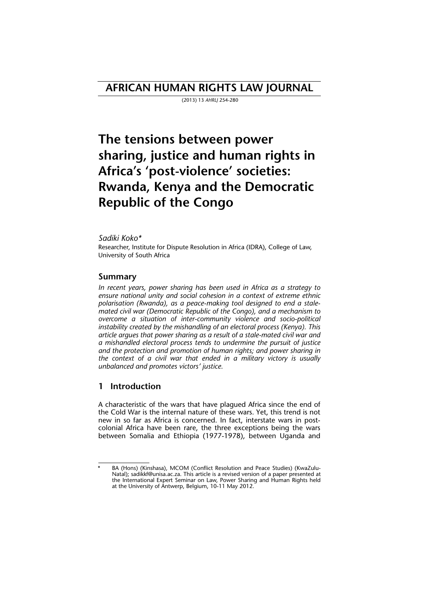## **AFRICAN HUMAN RIGHTS LAW JOURNAL**

(2013) 13 *AHRLJ* 254-280

# **The tensions between power sharing, justice and human rights in Africa's 'post-violence' societies: Rwanda, Kenya and the Democratic Republic of the Congo**

### *Sadiki Koko\**

Researcher, Institute for Dispute Resolution in Africa (IDRA), College of Law, University of South Africa

### **Summary**

*In recent years, power sharing has been used in Africa as a strategy to ensure national unity and social cohesion in a context of extreme ethnic polarisation (Rwanda), as a peace-making tool designed to end a stalemated civil war (Democratic Republic of the Congo), and a mechanism to overcome a situation of inter-community violence and socio-political instability created by the mishandling of an electoral process (Kenya). This article argues that power sharing as a result of a stale-mated civil war and a mishandled electoral process tends to undermine the pursuit of justice and the protection and promotion of human rights; and power sharing in the context of a civil war that ended in a military victory is usually unbalanced and promotes victors' justice.* 

### **1 Introduction**

A characteristic of the wars that have plagued Africa since the end of the Cold War is the internal nature of these wars. Yet, this trend is not new in so far as Africa is concerned. In fact, interstate wars in postcolonial Africa have been rare, the three exceptions being the wars between Somalia and Ethiopia (1977-1978), between Uganda and

BA (Hons) (Kinshasa), MCOM (Conflict Resolution and Peace Studies) (KwaZulu-Natal); sadikkf@unisa.ac.za. This article is a revised version of a paper presented at the International Expert Seminar on Law, Power Sharing and Human Rights held at the University of Antwerp, Belgium, 10-11 May 2012.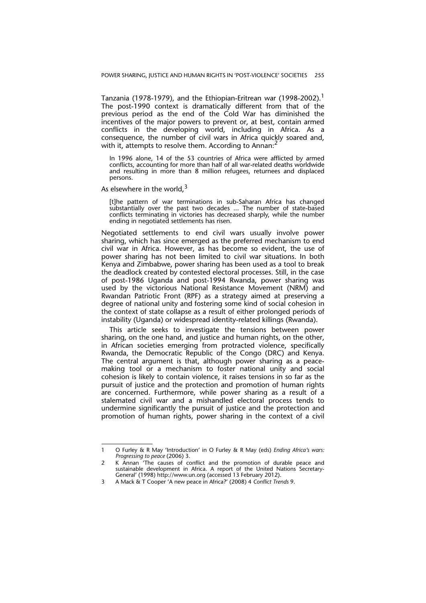Tanzania (1978-1979), and the Ethiopian-Eritrean war (1998-2002).<sup>1</sup> The post-1990 context is dramatically different from that of the previous period as the end of the Cold War has diminished the incentives of the major powers to prevent or, at best, contain armed conflicts in the developing world, including in Africa. As a consequence, the number of civil wars in Africa quickly soared and, with it, attempts to resolve them. According to Annan:

In 1996 alone, 14 of the 53 countries of Africa were afflicted by armed conflicts, accounting for more than half of all war-related deaths worldwide and resulting in more than 8 million refugees, returnees and displaced persons.

As elsewhere in the world,  $3$ 

[t]he pattern of war terminations in sub-Saharan Africa has changed substantially over the past two decades ... The number of state-based conflicts terminating in victories has decreased sharply, while the number ending in negotiated settlements has risen.

Negotiated settlements to end civil wars usually involve power sharing, which has since emerged as the preferred mechanism to end civil war in Africa. However, as has become so evident, the use of power sharing has not been limited to civil war situations. In both Kenya and Zimbabwe, power sharing has been used as a tool to break the deadlock created by contested electoral processes. Still, in the case of post-1986 Uganda and post-1994 Rwanda, power sharing was used by the victorious National Resistance Movement (NRM) and Rwandan Patriotic Front (RPF) as a strategy aimed at preserving a degree of national unity and fostering some kind of social cohesion in the context of state collapse as a result of either prolonged periods of instability (Uganda) or widespread identity-related killings (Rwanda).

This article seeks to investigate the tensions between power sharing, on the one hand, and justice and human rights, on the other, in African societies emerging from protracted violence, specifically Rwanda, the Democratic Republic of the Congo (DRC) and Kenya. The central argument is that, although power sharing as a peacemaking tool or a mechanism to foster national unity and social cohesion is likely to contain violence, it raises tensions in so far as the pursuit of justice and the protection and promotion of human rights are concerned. Furthermore, while power sharing as a result of a stalemated civil war and a mishandled electoral process tends to undermine significantly the pursuit of justice and the protection and promotion of human rights, power sharing in the context of a civil

<sup>1</sup> O Furley & R May 'Introduction' in O Furley & R May (eds) *Ending Africa's wars: Progressing to peace* (2006) 3.

<sup>2</sup> K Annan 'The causes of conflict and the promotion of durable peace and sustainable development in Africa. A report of the United Nations Secretary-General' (1998) http://www.un.org (accessed 13 February 2012).

<sup>3</sup> A Mack & T Cooper 'A new peace in Africa?' (2008) 4 *Conflict Trends* 9.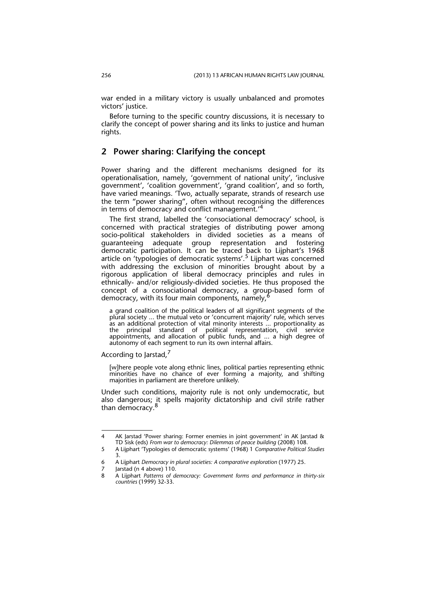war ended in a military victory is usually unbalanced and promotes victors' justice.

Before turning to the specific country discussions, it is necessary to clarify the concept of power sharing and its links to justice and human rights.

### **2 Power sharing: Clarifying the concept**

Power sharing and the different mechanisms designed for its operationalisation, namely, 'government of national unity', 'inclusive government', 'coalition government', 'grand coalition', and so forth, have varied meanings. 'Two, actually separate, strands of research use the term "power sharing", often without recognising the differences in terms of democracy and conflict management.<sup>"</sup>

The first strand, labelled the 'consociational democracy' school, is concerned with practical strategies of distributing power among socio-political stakeholders in divided societies as a means of guaranteeing adequate group representation and fostering democratic participation. It can be traced back to Lijphart's 1968 article on 'typologies of democratic systems'.5 Lijphart was concerned with addressing the exclusion of minorities brought about by a rigorous application of liberal democracy principles and rules in ethnically- and/or religiously-divided societies. He thus proposed the concept of a consociational democracy, a group-based form of democracy, with its four main components, namely,<sup>6</sup>

a grand coalition of the political leaders of all significant segments of the plural society ... the mutual veto or 'concurrent majority' rule, which serves as an additional protection of vital minority interests ... proportionality as the principal standard of political representation, civil service appointments, and allocation of public funds, and ... a high degree of autonomy of each segment to run its own internal affairs.

According to Jarstad,<sup>7</sup>

[w]here people vote along ethnic lines, political parties representing ethnic minorities have no chance of ever forming a majority, and shifting majorities in parliament are therefore unlikely.

Under such conditions, majority rule is not only undemocratic, but also dangerous; it spells majority dictatorship and civil strife rather than democracy.

<sup>4</sup> AK Jarstad 'Power sharing: Former enemies in joint government' in AK Jarstad & TD Sisk (eds) *From war to democracy: Dilemmas of peace building* (2008) 108.

<sup>5</sup> A Lijphart 'Typologies of democratic systems' (1968) 1 *Comparative Political Studies* 3.

<sup>6</sup> A Lijphart *Democracy in plural societies: A comparative exploration* (1977) 25.

Jarstad (n 4 above) 110.

<sup>8</sup> A Lijphart *Patterns of democracy: Government forms and performance in thirty-six countries* (1999) 32-33.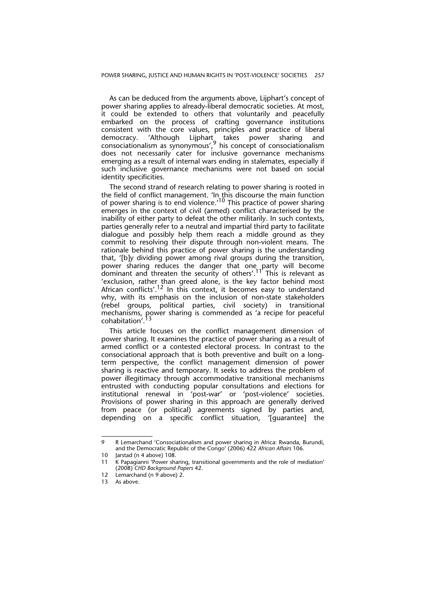As can be deduced from the arguments above, Lijphart's concept of power sharing applies to already-liberal democratic societies. At most, it could be extended to others that voluntarily and peacefully embarked on the process of crafting governance institutions consistent with the core values, principles and practice of liberal democracy. 'Although Lijphart<sub>,</sub> takes power sharing and consociationalism as synonymous',9 his concept of consociationalism does not necessarily cater for inclusive governance mechanisms emerging as a result of internal wars ending in stalemates, especially if such inclusive governance mechanisms were not based on social identity specificities.

The second strand of research relating to power sharing is rooted in the field of conflict management. 'In this discourse the main function of power sharing is to end violence.<sup>10</sup> This practice of power sharing emerges in the context of civil (armed) conflict characterised by the inability of either party to defeat the other militarily. In such contexts, parties generally refer to a neutral and impartial third party to facilitate dialogue and possibly help them reach a middle ground as they commit to resolving their dispute through non-violent means. The rationale behind this practice of power sharing is the understanding that, '[b]y dividing power among rival groups during the transition, power sharing reduces the danger that one party will become dominant and threaten the security of others'.<sup>11</sup> This is relevant as 'exclusion, rather than greed alone, is the key factor behind most African conflicts'.<sup>12</sup> In this context, it becomes easy to understand why, with its emphasis on the inclusion of non-state stakeholders (rebel groups, political parties, civil society) in transitional mechanisms, power sharing is commended as 'a recipe for peaceful cohabitation'.<sup>13</sup>

This article focuses on the conflict management dimension of power sharing. It examines the practice of power sharing as a result of armed conflict or a contested electoral process. In contrast to the consociational approach that is both preventive and built on a longterm perspective, the conflict management dimension of power sharing is reactive and temporary. It seeks to address the problem of power illegitimacy through accommodative transitional mechanisms entrusted with conducting popular consultations and elections for institutional renewal in 'post-war' or 'post-violence' societies. Provisions of power sharing in this approach are generally derived from peace (or political) agreements signed by parties and, depending on a specific conflict situation, '[guarantee] the

<sup>9</sup> R Lemarchand 'Consociationalism and power sharing in Africa: Rwanda, Burundi, and the Democratic Republic of the Congo' (2006) 422 *African Affairs* 106.

<sup>10</sup> Jarstad (n 4 above) 108.

<sup>11</sup> K Papagianni 'Power sharing, transitional governments and the role of mediation' (2008) *CHD Background Papers* 42.

<sup>12</sup> Lemarchand (n 9 above) 2.

<sup>13</sup> As above.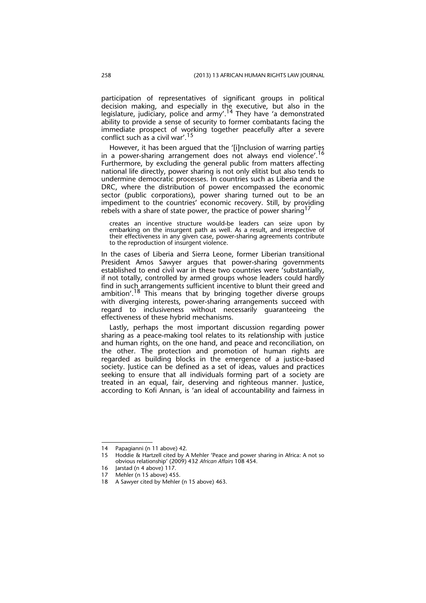participation of representatives of significant groups in political decision making, and especially in the executive, but also in the legislature, judiciary, police and  $army'$ .<sup>14</sup> They have 'a demonstrated ability to provide a sense of security to former combatants facing the immediate prospect of working together peacefully after a severe conflict such as a civil war'.<sup>15</sup>

However, it has been argued that the '[i]nclusion of warring parties in a power-sharing arrangement does not always end violence'.<sup>16</sup> Furthermore, by excluding the general public from matters affecting national life directly, power sharing is not only elitist but also tends to undermine democratic processes. In countries such as Liberia and the DRC, where the distribution of power encompassed the economic sector (public corporations), power sharing turned out to be an impediment to the countries' economic recovery. Still, by providing rebels with a share of state power, the practice of power sharing  $17$ 

creates an incentive structure would-be leaders can seize upon by embarking on the insurgent path as well. As a result, and irrespective of their effectiveness in any given case, power-sharing agreements contribute to the reproduction of insurgent violence.

In the cases of Liberia and Sierra Leone, former Liberian transitional President Amos Sawyer argues that power-sharing governments established to end civil war in these two countries were 'substantially, if not totally, controlled by armed groups whose leaders could hardly find in such arrangements sufficient incentive to blunt their greed and ambition'.<sup>18</sup> This means that by bringing together diverse groups with diverging interests, power-sharing arrangements succeed with regard to inclusiveness without necessarily guaranteeing the effectiveness of these hybrid mechanisms.

Lastly, perhaps the most important discussion regarding power sharing as a peace-making tool relates to its relationship with justice and human rights, on the one hand, and peace and reconciliation, on the other. The protection and promotion of human rights are regarded as building blocks in the emergence of a justice-based society. Justice can be defined as a set of ideas, values and practices seeking to ensure that all individuals forming part of a society are treated in an equal, fair, deserving and righteous manner. Justice, according to Kofi Annan, is 'an ideal of accountability and fairness in

<sup>14</sup> Papagianni (n 11 above) 42.

<sup>15</sup> Hoddie & Hartzell cited by A Mehler 'Peace and power sharing in Africa: A not so obvious relationship' (2009) 432 *African Affairs* 108 454.

<sup>16</sup> Jarstad (n 4 above) 117.

<sup>17</sup> Mehler (n 15 above) 455.

<sup>18</sup> A Sawyer cited by Mehler (n 15 above) 463.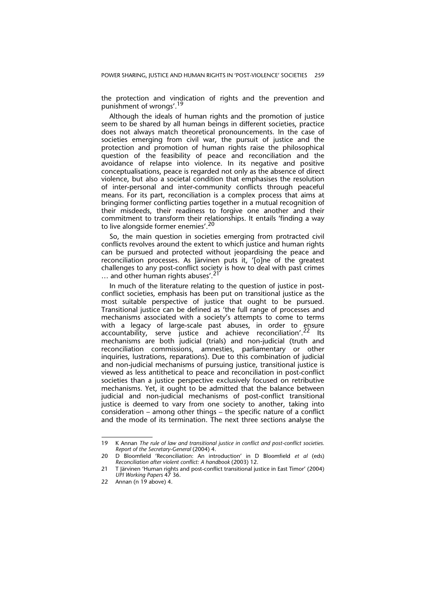the protection and vindication of rights and the prevention and punishment of wrongs'.<sup>19</sup>

Although the ideals of human rights and the promotion of justice seem to be shared by all human beings in different societies, practice does not always match theoretical pronouncements. In the case of societies emerging from civil war, the pursuit of justice and the protection and promotion of human rights raise the philosophical question of the feasibility of peace and reconciliation and the avoidance of relapse into violence. In its negative and positive conceptualisations, peace is regarded not only as the absence of direct violence, but also a societal condition that emphasises the resolution of inter-personal and inter-community conflicts through peaceful means. For its part, reconciliation is a complex process that aims at bringing former conflicting parties together in a mutual recognition of their misdeeds, their readiness to forgive one another and their commitment to transform their relationships. It entails 'finding a way to live alongside former enemies'.<sup>20</sup>

So, the main question in societies emerging from protracted civil conflicts revolves around the extent to which justice and human rights can be pursued and protected without jeopardising the peace and reconciliation processes. As Järvinen puts it, '[o]ne of the greatest challenges to any post-conflict society is how to deal with past crimes ... and other human rights abuses'.<sup>21</sup>

In much of the literature relating to the question of justice in postconflict societies, emphasis has been put on transitional justice as the most suitable perspective of justice that ought to be pursued. Transitional justice can be defined as 'the full range of processes and mechanisms associated with a society's attempts to come to terms with a legacy of large-scale past abuses, in order to ensure accountability, serve justice and achieve reconciliation'.<sup>22</sup> Its mechanisms are both judicial (trials) and non-judicial (truth and reconciliation commissions, amnesties, parliamentary or other inquiries, lustrations, reparations). Due to this combination of judicial and non-judicial mechanisms of pursuing justice, transitional justice is viewed as less antithetical to peace and reconciliation in post-conflict societies than a justice perspective exclusively focused on retributive mechanisms. Yet, it ought to be admitted that the balance between judicial and non-judicial mechanisms of post-conflict transitional justice is deemed to vary from one society to another, taking into consideration – among other things – the specific nature of a conflict and the mode of its termination. The next three sections analyse the

<sup>19</sup> K Annan *The rule of law and transitional justice in conflict and post-conflict societies. Report of the Secretary-General* (2004) 4.

<sup>20</sup> D Bloomfield 'Reconciliation: An introduction' in D Bloomfield *et al* (eds) *Reconciliation after violent conflict: A handbook* (2003) 12.

<sup>21</sup> T Järvinen 'Human rights and post-conflict transitional justice in East Timor' (2004) *UPI Working Papers* 47 36.

<sup>22</sup> Annan (n 19 above) 4.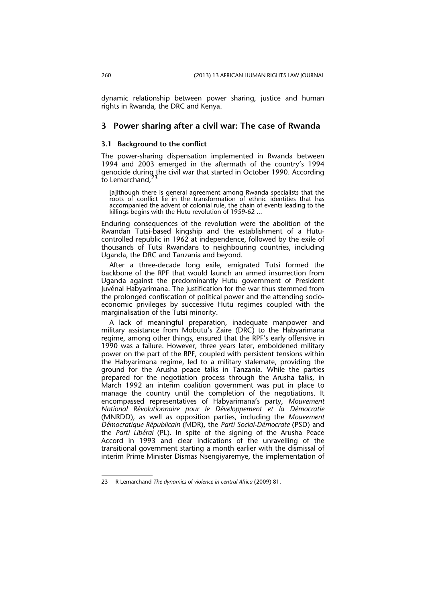dynamic relationship between power sharing, justice and human rights in Rwanda, the DRC and Kenya.

### **3 Power sharing after a civil war: The case of Rwanda**

#### **3.1 Background to the conflict**

The power-sharing dispensation implemented in Rwanda between 1994 and 2003 emerged in the aftermath of the country's 1994 genocide during the civil war that started in October 1990. According to Lemarchand,<sup>23</sup>

[a]lthough there is general agreement among Rwanda specialists that the roots of conflict lie in the transformation of ethnic identities that has accompanied the advent of colonial rule, the chain of events leading to the killings begins with the Hutu revolution of 1959-62 ...

Enduring consequences of the revolution were the abolition of the Rwandan Tutsi-based kingship and the establishment of a Hutucontrolled republic in 1962 at independence, followed by the exile of thousands of Tutsi Rwandans to neighbouring countries, including Uganda, the DRC and Tanzania and beyond.

After a three-decade long exile, emigrated Tutsi formed the backbone of the RPF that would launch an armed insurrection from Uganda against the predominantly Hutu government of President Juvénal Habyarimana. The justification for the war thus stemmed from the prolonged confiscation of political power and the attending socioeconomic privileges by successive Hutu regimes coupled with the marginalisation of the Tutsi minority.

A lack of meaningful preparation, inadequate manpower and military assistance from Mobutu's Zaire (DRC) to the Habyarimana regime, among other things, ensured that the RPF's early offensive in 1990 was a failure. However, three years later, emboldened military power on the part of the RPF, coupled with persistent tensions within the Habyarimana regime, led to a military stalemate, providing the ground for the Arusha peace talks in Tanzania. While the parties prepared for the negotiation process through the Arusha talks, in March 1992 an interim coalition government was put in place to manage the country until the completion of the negotiations. It encompassed representatives of Habyarimana's party, *Mouvement National Révolutionnaire pour le Développement et la Démocratie* (MNRDD), as well as opposition parties, including the *Mouvement Démocratique Républicain* (MDR), the *Parti Social-Démocrate* (PSD) and the *Parti Libéral* (PL). In spite of the signing of the Arusha Peace Accord in 1993 and clear indications of the unravelling of the transitional government starting a month earlier with the dismissal of interim Prime Minister Dismas Nsengiyaremye, the implementation of

<sup>23</sup> R Lemarchand *The dynamics of violence in central Africa* (2009) 81.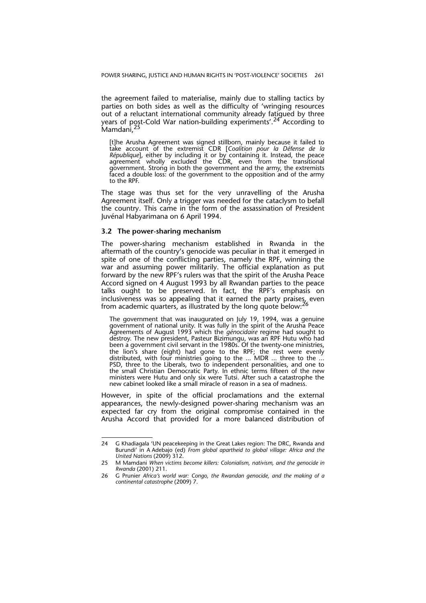the agreement failed to materialise, mainly due to stalling tactics by parties on both sides as well as the difficulty of 'wringing resources out of a reluctant international community already fatigued by three years of post-Cold War nation-building experiments'.<sup>24</sup> According to Mamdani, 25

[t]he Arusha Agreement was signed stillborn, mainly because it failed to take account of the extremist CDR [*Coalition pour la Défense de la République*], either by including it or by containing it. Instead, the peace agreement wholly excluded the CDR, even from the transitional government. Strong in both the government and the army, the extremists faced a double loss: of the government to the opposition and of the army to the RPF.

The stage was thus set for the very unravelling of the Arusha Agreement itself. Only a trigger was needed for the cataclysm to befall the country. This came in the form of the assassination of President Juvénal Habyarimana on 6 April 1994.

### **3.2 The power-sharing mechanism**

The power-sharing mechanism established in Rwanda in the aftermath of the country's genocide was peculiar in that it emerged in spite of one of the conflicting parties, namely the RPF, winning the war and assuming power militarily. The official explanation as put forward by the new RPF's rulers was that the spirit of the Arusha Peace Accord signed on 4 August 1993 by all Rwandan parties to the peace talks ought to be preserved. In fact, the RPF's emphasis on inclusiveness was so appealing that it earned the party praises, even from academic quarters, as illustrated by the long quote below:

The government that was inaugurated on July 19, 1994, was a genuine government of national unity. It was fully in the spirit of the Arusha Peace Agreements of August 1993 which the *génocidaire* regime had sought to destroy. The new president, Pasteur Bizimungu, was an RPF Hutu who had been a government civil servant in the 1980s. Of the twenty-one ministries, the lion's share (eight) had gone to the RPF; the rest were evenly distributed, with four ministries going to the ... MDR ... three to the ... PSD, three to the Liberals, two to independent personalities, and one to the small Christian Democratic Party. In ethnic terms fifteen of the new ministers were Hutu and only six were Tutsi. After such a catastrophe the new cabinet looked like a small miracle of reason in a sea of madness.

However, in spite of the official proclamations and the external appearances, the newly-designed power-sharing mechanism was an expected far cry from the original compromise contained in the Arusha Accord that provided for a more balanced distribution of

<sup>24</sup> G Khadiagala 'UN peacekeeping in the Great Lakes region: The DRC, Rwanda and Burundi' in A Adebajo (ed) *From global apartheid to global village: Africa and the United Nations* (2009) 312.

<sup>25</sup> M Mamdani *When victims become killers: Colonialism, nativism, and the genocide in Rwanda* (2001) 211.

<sup>26</sup> G Prunier *Africa's world war: Congo, the Rwandan genocide, and the making of a continental catastrophe* (2009) 7.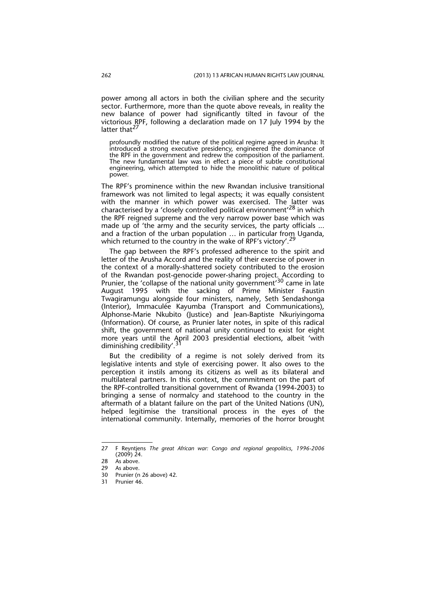power among all actors in both the civilian sphere and the security sector. Furthermore, more than the quote above reveals, in reality the new balance of power had significantly tilted in favour of the victorious RPF, following a declaration made on 17 July 1994 by the latter that $^{27}$ 

profoundly modified the nature of the political regime agreed in Arusha: It introduced a strong executive presidency, engineered the dominance of the RPF in the government and redrew the composition of the parliament. The new fundamental law was in effect a piece of subtle constitutional engineering, which attempted to hide the monolithic nature of political power.

The RPF's prominence within the new Rwandan inclusive transitional framework was not limited to legal aspects; it was equally consistent with the manner in which power was exercised. The latter was characterised by a 'closely controlled political environment'28 in which the RPF reigned supreme and the very narrow power base which was made up of 'the army and the security services, the party officials ... and a fraction of the urban population … in particular from Uganda, which returned to the country in the wake of RPF's victory'.

The gap between the RPF's professed adherence to the spirit and letter of the Arusha Accord and the reality of their exercise of power in the context of a morally-shattered society contributed to the erosion of the Rwandan post-genocide power-sharing project. According to Prunier, the 'collapse of the national unity government'<sup>30</sup> came in late August 1995 with the sacking of Prime Minister Faustin Twagiramungu alongside four ministers, namely, Seth Sendashonga (Interior), Immaculée Kayumba (Transport and Communications), Alphonse-Marie Nkubito (Justice) and Jean-Baptiste Nkuriyingoma (Information). Of course, as Prunier later notes, in spite of this radical shift, the government of national unity continued to exist for eight more years until the April 2003 presidential elections, albeit 'with diminishing credibility'.<sup>31</sup>

But the credibility of a regime is not solely derived from its legislative intents and style of exercising power. It also owes to the perception it instils among its citizens as well as its bilateral and multilateral partners. In this context, the commitment on the part of the RPF-controlled transitional government of Rwanda (1994-2003) to bringing a sense of normalcy and statehood to the country in the aftermath of a blatant failure on the part of the United Nations (UN), helped legitimise the transitional process in the eyes of the international community. Internally, memories of the horror brought

<sup>27</sup> F Reyntjens *The great African war: Congo and regional geopolitics*, *1996-2006*  $(2009)$  24.

<sup>28</sup> As above.

<sup>29</sup> As above.<br>30 Prunier (n

Prunier (n 26 above) 42.

<sup>31</sup> Prunier 46.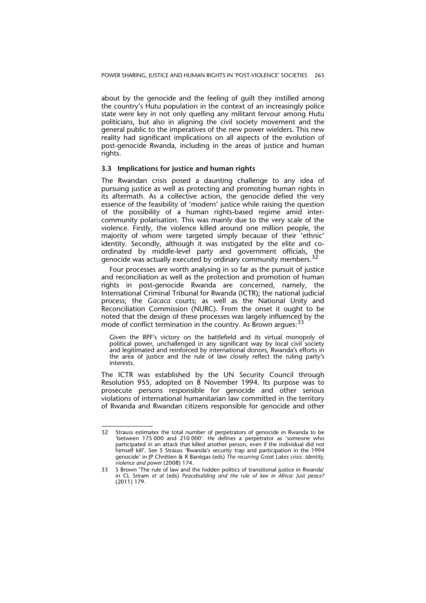about by the genocide and the feeling of guilt they instilled among the country's Hutu population in the context of an increasingly police state were key in not only quelling any militant fervour among Hutu politicians, but also in aligning the civil society movement and the general public to the imperatives of the new power wielders. This new reality had significant implications on all aspects of the evolution of post-genocide Rwanda, including in the areas of justice and human rights.

### **3.3 Implications for justice and human rights**

The Rwandan crisis posed a daunting challenge to any idea of pursuing justice as well as protecting and promoting human rights in its aftermath. As a collective action, the genocide defied the very essence of the feasibility of 'modern' justice while raising the question of the possibility of a human rights-based regime amid intercommunity polarisation. This was mainly due to the very scale of the violence. Firstly, the violence killed around one million people, the majority of whom were targeted simply because of their 'ethnic' identity. Secondly, although it was instigated by the elite and coordinated by middle-level party and government officials, the genocide was actually executed by ordinary community members.<sup>32</sup>

Four processes are worth analysing in so far as the pursuit of justice and reconciliation as well as the protection and promotion of human rights in post-genocide Rwanda are concerned, namely, the International Criminal Tribunal for Rwanda (ICTR); the national judicial process; the *Gacaca* courts; as well as the National Unity and Reconciliation Commission (NURC). From the onset it ought to be noted that the design of these processes was largely influenced by the mode of conflict termination in the country. As Brown arques: 33

Given the RPF's victory on the battlefield and its virtual monopoly of political power, unchallenged in any significant way by local civil society and legitimated and reinforced by international donors, Rwanda's efforts in the area of justice and the rule of law closely reflect the ruling party's interests.

The ICTR was established by the UN Security Council through Resolution 955, adopted on 8 November 1994. Its purpose was to prosecute persons responsible for genocide and other serious violations of international humanitarian law committed in the territory of Rwanda and Rwandan citizens responsible for genocide and other

<sup>32</sup> Strauss estimates the total number of perpetrators of genocide in Rwanda to be 'between 175 000 and 210 000'. He defines a perpetrator as 'someone who participated in an attack that killed another person, even if the individual did not himself kill'. See S Strauss 'Rwanda's security trap and participation in the 1994 genocide' in JP Chrétien & R Banégas (eds) *The recurring Great Lakes crisis: Identity, violence and power* (2008) 174.

<sup>33</sup> S Brown 'The rule of law and the hidden politics of transitional justice in Rwanda' in CL Sriram *et al* (eds) *Peacebuilding and the rule of law in Africa: Just peace?* (2011) 179.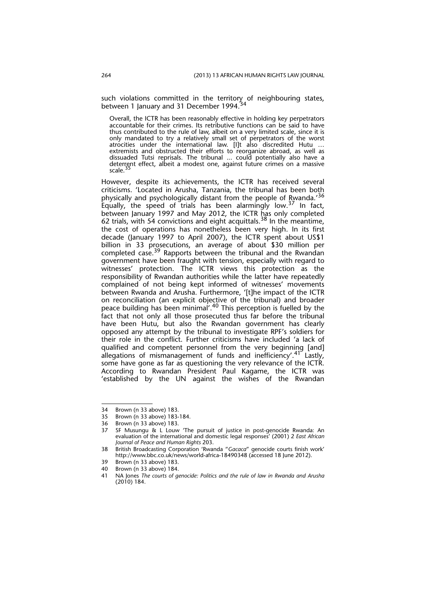such violations committed in the territory of neighbouring states, between 1 January and 31 December 1994.<sup>34</sup>

Overall, the ICTR has been reasonably effective in holding key perpetrators accountable for their crimes. Its retributive functions can be said to have thus contributed to the rule of law, albeit on a very limited scale, since it is only mandated to try a relatively small set of perpetrators of the worst atrocities under the international law. [I]t also discredited Hutu … extremists and obstructed their efforts to reorganize abroad, as well as dissuaded Tutsi reprisals. The tribunal ... could potentially also have a deterrent effect, albeit a modest one, against future crimes on a massive scale. $3$ 

However, despite its achievements, the ICTR has received several criticisms. 'Located in Arusha, Tanzania, the tribunal has been both physically and psychologically distant from the people of Rwanda.'<sup>36</sup> Equally, the speed of trials has been alarmingly low.<sup>37</sup> In fact, between January 1997 and May 2012, the ICTR has only completed 62 trials, with 54 convictions and eight acquittals.<sup>38</sup> In the meantime, the cost of operations has nonetheless been very high. In its first decade (January 1997 to April 2007), the ICTR spent about US\$1 billion in 33 prosecutions, an average of about \$30 million per completed case.<sup>39</sup> Rapports between the tribunal and the Rwandan government have been fraught with tension, especially with regard to witnesses' protection. The ICTR views this protection as the responsibility of Rwandan authorities while the latter have repeatedly complained of not being kept informed of witnesses' movements between Rwanda and Arusha. Furthermore, '[t]he impact of the ICTR on reconciliation (an explicit objective of the tribunal) and broader peace building has been minimal<sup>'</sup>.<sup>40</sup> This perception is fuelled by the fact that not only all those prosecuted thus far before the tribunal have been Hutu, but also the Rwandan government has clearly opposed any attempt by the tribunal to investigate RPF's soldiers for their role in the conflict. Further criticisms have included 'a lack of qualified and competent personnel from the very beginning [and] allegations of mismanagement of funds and inefficiency'.<sup>41</sup> Lastly, some have gone as far as questioning the very relevance of the ICTR. According to Rwandan President Paul Kagame, the ICTR was 'established by the UN against the wishes of the Rwandan

<sup>34</sup> Brown (n 33 above) 183.

<sup>35</sup> Brown (n 33 above) 183-184.

<sup>36</sup> Brown (n 33 above) 183.

<sup>37</sup> SF Musungu & L Louw 'The pursuit of justice in post-genocide Rwanda: An evaluation of the international and domestic legal responses' (2001) 2 *East African Journal of Peace and Human Rights* 203.

<sup>38</sup> British Broadcasting Corporation 'Rwanda "*Gacaca*" genocide courts finish work' http://www.bbc.co.uk/news/world-africa-18490348 (accessed 18 June 2012).

<sup>39</sup> Brown (n 33 above) 183. 40 Brown (n 33 above) 184.

<sup>41</sup> NA Jones *The courts of genocide: Politics and the rule of law in Rwanda and Arusha* (2010) 184.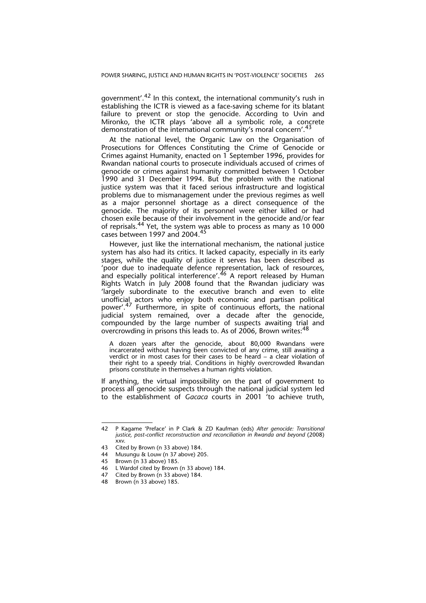government'.42 In this context, the international community's rush in establishing the ICTR is viewed as a face-saving scheme for its blatant failure to prevent or stop the genocide. According to Uvin and Mironko, the ICTR plays 'above all a symbolic role, a concrete demonstration of the international community's moral concern'.<sup>43</sup>

At the national level, the Organic Law on the Organisation of Prosecutions for Offences Constituting the Crime of Genocide or Crimes against Humanity, enacted on 1 September 1996, provides for Rwandan national courts to prosecute individuals accused of crimes of genocide or crimes against humanity committed between 1 October 1990 and 31 December 1994. But the problem with the national justice system was that it faced serious infrastructure and logistical problems due to mismanagement under the previous regimes as well as a major personnel shortage as a direct consequence of the genocide. The majority of its personnel were either killed or had chosen exile because of their involvement in the genocide and/or fear of reprisals.<sup>44</sup> Yet, the system was able to process as many as 10 000 cases between 1997 and 2004.45

However, just like the international mechanism, the national justice system has also had its critics. It lacked capacity, especially in its early stages, while the quality of justice it serves has been described as 'poor due to inadequate defence representation, lack of resources, and especially political interference'.<sup>46</sup> A report released by Human Rights Watch in July 2008 found that the Rwandan judiciary was 'largely subordinate to the executive branch and even to elite unofficial actors who enjoy both economic and partisan political power'.<sup>47</sup> Furthermore, in spite of continuous efforts, the national judicial system remained, over a decade after the genocide, compounded by the large number of suspects awaiting trial and overcrowding in prisons this leads to. As of 2006, Brown writes: <sup>48</sup>

A dozen years after the genocide, about 80,000 Rwandans were incarcerated without having been convicted of any crime, still awaiting a verdict or in most cases for their cases to be heard – a clear violation of their right to a speedy trial. Conditions in highly overcrowded Rwandan prisons constitute in themselves a human rights violation.

If anything, the virtual impossibility on the part of government to process all genocide suspects through the national judicial system led to the establishment of *Gacaca* courts in 2001 'to achieve truth,

<sup>42</sup> P Kagame 'Preface' in P Clark & ZD Kaufman (eds) *After genocide: Transitional justice, post-conflict reconstruction and reconciliation in Rwanda and beyond* (2008) xxv.

<sup>43</sup> Cited by Brown (n 33 above) 184.<br>44 Musungu & Louw (n 37 above) 20

Musungu & Louw (n 37 above) 205.

<sup>45</sup> Brown (n 33 above) 185.

<sup>46</sup> L Wardof cited by Brown (n 33 above) 184.

<sup>47</sup> Cited by Brown (n 33 above) 184.<br>48 Brown (n 33 above) 185

Brown (n 33 above) 185.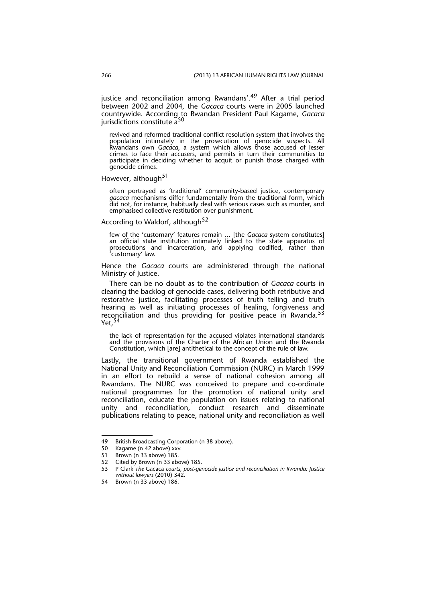justice and reconciliation among Rwandans'.<sup>49</sup> After a trial period between 2002 and 2004, the *Gacaca* courts were in 2005 launched countrywide. According to Rwandan President Paul Kagame, *Gacaca* jurisdictions constitute  $a<sup>3</sup>$ 

revived and reformed traditional conflict resolution system that involves the population intimately in the prosecution of genocide suspects. All Rwandans own *Gacaca*, a system which allows those accused of lesser crimes to face their accusers, and permits in turn their communities to participate in deciding whether to acquit or punish those charged with genocide crimes.

However, although<sup>51</sup>

often portrayed as 'traditional' community-based justice, contemporary *gacaca* mechanisms differ fundamentally from the traditional form, which did not, for instance, habitually deal with serious cases such as murder, and emphasised collective restitution over punishment.

According to Waldorf, although<sup>52</sup>

few of the 'customary' features remain … [the *Gacaca* system constitutes] an official state institution intimately linked to the state apparatus of prosecutions and incarceration, and applying codified, rather than 'customary' law.

Hence the *Gacaca* courts are administered through the national Ministry of Justice.

There can be no doubt as to the contribution of *Gacaca* courts in clearing the backlog of genocide cases, delivering both retributive and restorative justice, facilitating processes of truth telling and truth hearing as well as initiating processes of healing, forgiveness and reconciliation and thus providing for positive peace in Rwanda.<sup>53</sup>  $Yet.<sup>54</sup>$ 

the lack of representation for the accused violates international standards and the provisions of the Charter of the African Union and the Rwanda Constitution, which [are] antithetical to the concept of the rule of law.

Lastly, the transitional government of Rwanda established the National Unity and Reconciliation Commission (NURC) in March 1999 in an effort to rebuild a sense of national cohesion among all Rwandans. The NURC was conceived to prepare and co-ordinate national programmes for the promotion of national unity and reconciliation, educate the population on issues relating to national unity and reconciliation, conduct research and disseminate publications relating to peace, national unity and reconciliation as well

<sup>49</sup> British Broadcasting Corporation (n 38 above).

<sup>50</sup> Kagame (n 42 above) xxv.

<sup>51</sup> Brown (n 33 above) 185.

<sup>52</sup> Cited by Brown (n 33 above) 185.

<sup>53</sup> P Clark *The* Gacaca *courts, post-genocide justice and reconciliation in Rwanda: Justice without lawyers* (2010) 342.

<sup>54</sup> Brown (n 33 above) 186.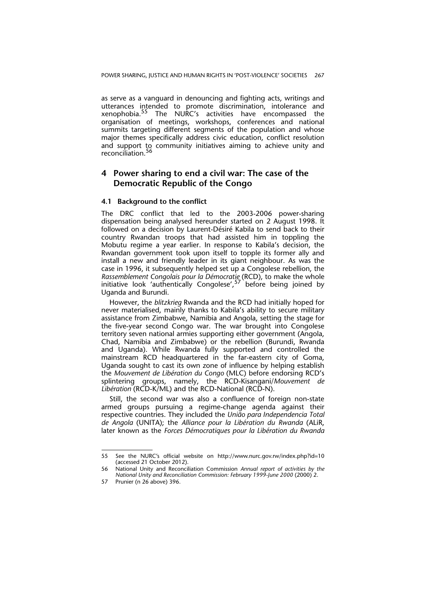as serve as a vanguard in denouncing and fighting acts, writings and utterances intended to promote discrimination, intolerance and xenophobia.<sup>55</sup> The NURC's activities have encompassed the organisation of meetings, workshops, conferences and national summits targeting different segments of the population and whose major themes specifically address civic education, conflict resolution and support to community initiatives aiming to achieve unity and reconciliation.<sup>5</sup>

### **4 Power sharing to end a civil war: The case of the Democratic Republic of the Congo**

### **4.1 Background to the conflict**

The DRC conflict that led to the 2003-2006 power-sharing dispensation being analysed hereunder started on 2 August 1998. It followed on a decision by Laurent-Désiré Kabila to send back to their country Rwandan troops that had assisted him in toppling the Mobutu regime a year earlier. In response to Kabila's decision, the Rwandan government took upon itself to topple its former ally and install a new and friendly leader in its giant neighbour. As was the case in 1996, it subsequently helped set up a Congolese rebellion, the *Rassemblement Congolais pour la Démocratie* (RCD), to make the whole initiative look 'authentically Congolese',<sup>57</sup> before being joined by Uganda and Burundi.

However, the *blitzkrieg* Rwanda and the RCD had initially hoped for never materialised, mainly thanks to Kabila's ability to secure military assistance from Zimbabwe, Namibia and Angola, setting the stage for the five-year second Congo war. The war brought into Congolese territory seven national armies supporting either government (Angola, Chad, Namibia and Zimbabwe) or the rebellion (Burundi, Rwanda and Uganda). While Rwanda fully supported and controlled the mainstream RCD headquartered in the far-eastern city of Goma, Uganda sought to cast its own zone of influence by helping establish the *Mouvement de Libération du Congo* (MLC) before endorsing RCD's splintering groups, namely, the RCD-Kisangani/*Mouvement de Libération* (RCD-K/ML) and the RCD-National (RCD-N).

Still, the second war was also a confluence of foreign non-state armed groups pursuing a regime-change agenda against their respective countries. They included the *União para Independencia Total de Angola* (UNITA); the *Alliance pour la Libération du Rwanda* (ALiR, later known as the *Forces Démocratiques pour la Libération du Rwanda*

<sup>55</sup> See the NURC's official website on http://www.nurc.gov.rw/index.php?id=10 (accessed 21 October 2012).

<sup>56</sup> National Unity and Reconciliation Commission *Annual report of activities by the National Unity and Reconciliation Commission: February 1999-June 2000* (2000) 2.

<sup>57</sup> Prunier (n 26 above) 396.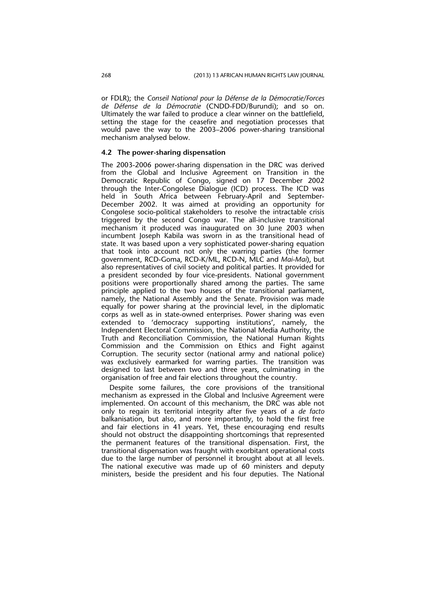or FDLR); the *Conseil National pour la Défense de la Démocratie/Forces de Défense de la Démocratie* (CNDD-FDD/Burundi); and so on. Ultimately the war failed to produce a clear winner on the battlefield, setting the stage for the ceasefire and negotiation processes that would pave the way to the 2003–2006 power-sharing transitional mechanism analysed below.

### **4.2 The power-sharing dispensation**

The 2003-2006 power-sharing dispensation in the DRC was derived from the Global and Inclusive Agreement on Transition in the Democratic Republic of Congo, signed on 17 December 2002 through the Inter-Congolese Dialogue (ICD) process. The ICD was held in South Africa between February-April and September-December 2002. It was aimed at providing an opportunity for Congolese socio-political stakeholders to resolve the intractable crisis triggered by the second Congo war. The all-inclusive transitional mechanism it produced was inaugurated on 30 June 2003 when incumbent Joseph Kabila was sworn in as the transitional head of state. It was based upon a very sophisticated power-sharing equation that took into account not only the warring parties (the former government, RCD-Goma, RCD-K/ML, RCD-N, MLC and *Mai-Mai*), but also representatives of civil society and political parties. It provided for a president seconded by four vice-presidents. National government positions were proportionally shared among the parties. The same principle applied to the two houses of the transitional parliament, namely, the National Assembly and the Senate. Provision was made equally for power sharing at the provincial level, in the diplomatic corps as well as in state-owned enterprises. Power sharing was even extended to 'democracy supporting institutions', namely, the Independent Electoral Commission, the National Media Authority, the Truth and Reconciliation Commission, the National Human Rights Commission and the Commission on Ethics and Fight against Corruption. The security sector (national army and national police) was exclusively earmarked for warring parties. The transition was designed to last between two and three years, culminating in the organisation of free and fair elections throughout the country.

Despite some failures, the core provisions of the transitional mechanism as expressed in the Global and Inclusive Agreement were implemented. On account of this mechanism, the DRC was able not only to regain its territorial integrity after five years of a *de facto* balkanisation, but also, and more importantly, to hold the first free and fair elections in 41 years. Yet, these encouraging end results should not obstruct the disappointing shortcomings that represented the permanent features of the transitional dispensation. First, the transitional dispensation was fraught with exorbitant operational costs due to the large number of personnel it brought about at all levels. The national executive was made up of 60 ministers and deputy ministers, beside the president and his four deputies. The National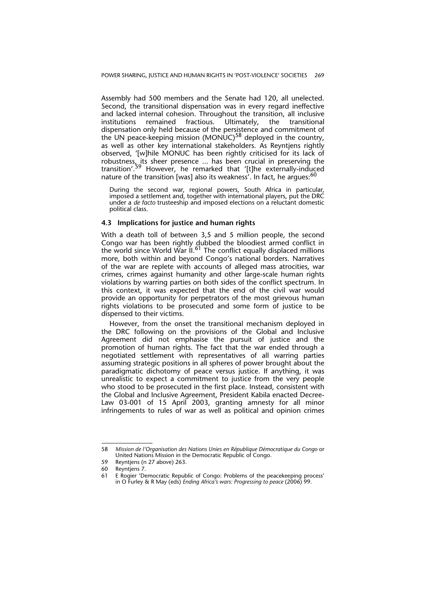Assembly had 500 members and the Senate had 120, all unelected. Second, the transitional dispensation was in every regard ineffective and lacked internal cohesion. Throughout the transition, all inclusive institutions remained fractious. Ultimately, the transitional dispensation only held because of the persistence and commitment of the UN peace-keeping mission (MONUC)<sup>58</sup> deployed in the country, as well as other key international stakeholders. As Reyntjens rightly observed, '[w]hile MONUC has been rightly criticised for its lack of robustness, its sheer presence ... has been crucial in preserving the transition'.<sup>59</sup> However, he remarked that '[t]he externally-induced nature of the transition [was] also its weakness'. In fact, he argues:<sup>61</sup>

During the second war, regional powers, South Africa in particular, imposed a settlement and, together with international players, put the DRC under a *de facto* trusteeship and imposed elections on a reluctant domestic political class.

### **4.3 Implications for justice and human rights**

With a death toll of between 3,5 and 5 million people, the second Congo war has been rightly dubbed the bloodiest armed conflict in the world since World War II.<sup>61</sup> The conflict equally displaced millions more, both within and beyond Congo's national borders. Narratives of the war are replete with accounts of alleged mass atrocities, war crimes, crimes against humanity and other large-scale human rights violations by warring parties on both sides of the conflict spectrum. In this context, it was expected that the end of the civil war would provide an opportunity for perpetrators of the most grievous human rights violations to be prosecuted and some form of justice to be dispensed to their victims.

However, from the onset the transitional mechanism deployed in the DRC following on the provisions of the Global and Inclusive Agreement did not emphasise the pursuit of justice and the promotion of human rights. The fact that the war ended through a negotiated settlement with representatives of all warring parties assuming strategic positions in all spheres of power brought about the paradigmatic dichotomy of peace versus justice. If anything, it was unrealistic to expect a commitment to justice from the very people who stood to be prosecuted in the first place. Instead, consistent with the Global and Inclusive Agreement, President Kabila enacted Decree-Law 03-001 of 15 April 2003, granting amnesty for all minor infringements to rules of war as well as political and opinion crimes

<sup>58</sup> *Mission de l'Organisation des Nations Unies en République Démocratique du Congo* or United Nations Mission in the Democratic Republic of Congo.

<sup>59</sup> Reyntjens (n 27 above) 263.

<sup>60</sup> Reyntjens 7.

<sup>61</sup> E Rogier 'Democratic Republic of Congo: Problems of the peacekeeping process' in O Furley & R May (eds) *Ending Africa's wars: Progressing to peace* (2006) 99.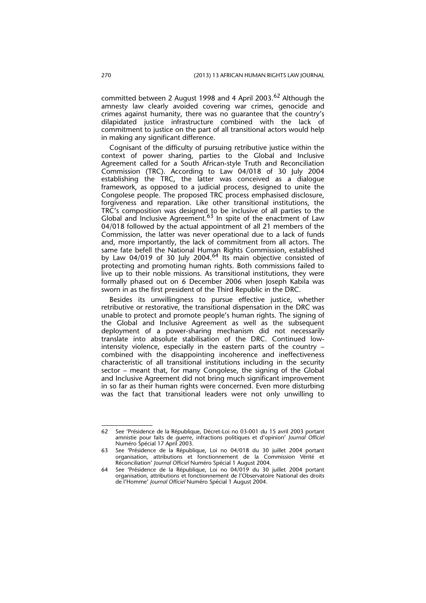committed between 2 August 1998 and 4 April 2003.<sup>62</sup> Although the amnesty law clearly avoided covering war crimes, genocide and crimes against humanity, there was no guarantee that the country's dilapidated justice infrastructure combined with the lack of commitment to justice on the part of all transitional actors would help in making any significant difference.

Cognisant of the difficulty of pursuing retributive justice within the context of power sharing, parties to the Global and Inclusive Agreement called for a South African-style Truth and Reconciliation Commission (TRC). According to Law 04/018 of 30 July 2004 establishing the TRC, the latter was conceived as a dialogue framework, as opposed to a judicial process, designed to unite the Congolese people. The proposed TRC process emphasised disclosure, forgiveness and reparation. Like other transitional institutions, the TRC's composition was designed to be inclusive of all parties to the Global and Inclusive Agreement.<sup>63</sup> In spite of the enactment of Law 04/018 followed by the actual appointment of all 21 members of the Commission, the latter was never operational due to a lack of funds and, more importantly, the lack of commitment from all actors. The same fate befell the National Human Rights Commission, established by Law 04/019 of 30 July 2004. $64$  Its main objective consisted of protecting and promoting human rights. Both commissions failed to live up to their noble missions. As transitional institutions, they were formally phased out on 6 December 2006 when Joseph Kabila was sworn in as the first president of the Third Republic in the DRC.

Besides its unwillingness to pursue effective justice, whether retributive or restorative, the transitional dispensation in the DRC was unable to protect and promote people's human rights. The signing of the Global and Inclusive Agreement as well as the subsequent deployment of a power-sharing mechanism did not necessarily translate into absolute stabilisation of the DRC. Continued lowintensity violence, especially in the eastern parts of the country – combined with the disappointing incoherence and ineffectiveness characteristic of all transitional institutions including in the security sector – meant that, for many Congolese, the signing of the Global and Inclusive Agreement did not bring much significant improvement in so far as their human rights were concerned. Even more disturbing was the fact that transitional leaders were not only unwilling to

<sup>62</sup> See 'Présidence de la République, Décret-Loi no 03-001 du 15 avril 2003 portant amnistie pour faits de guerre, infractions politiques et d'opinion' *Journal Officiel* Numéro Spécial 17 April 2003.

<sup>63</sup> See 'Présidence de la République, Loi no 04/018 du 30 juillet 2004 portant organisation, attributions et fonctionnement de la Commission Vérité et Réconciliation' *Journal Officiel* Numéro Spécial 1 August 2004.

<sup>64</sup> See 'Présidence de la République, Loi no 04/019 du 30 juillet 2004 portant organisation, attributions et fonctionnement de l'Observatoire National des droits de l'Homme' *Journal Officiel* Numéro Spécial 1 August 2004.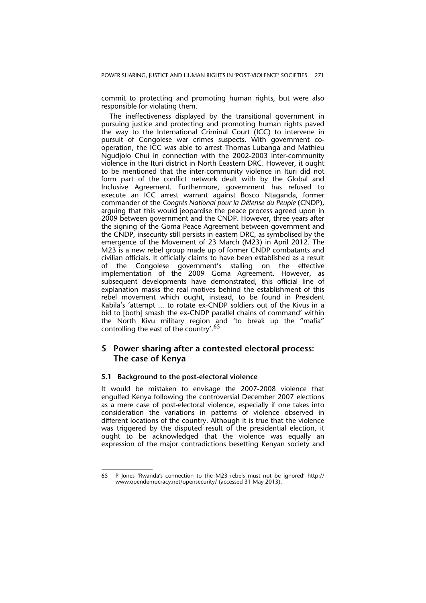commit to protecting and promoting human rights, but were also responsible for violating them.

The ineffectiveness displayed by the transitional government in pursuing justice and protecting and promoting human rights paved the way to the International Criminal Court (ICC) to intervene in pursuit of Congolese war crimes suspects. With government cooperation, the ICC was able to arrest Thomas Lubanga and Mathieu Ngudjolo Chui in connection with the 2002-2003 inter-community violence in the Ituri district in North Eeastern DRC. However, it ought to be mentioned that the inter-community violence in Ituri did not form part of the conflict network dealt with by the Global and Inclusive Agreement. Furthermore, government has refused to execute an ICC arrest warrant against Bosco Ntaganda, former commander of the *Congrès National pour la Défense du Peuple* (CNDP), arguing that this would jeopardise the peace process agreed upon in 2009 between government and the CNDP. However, three years after the signing of the Goma Peace Agreement between government and the CNDP, insecurity still persists in eastern DRC, as symbolised by the emergence of the Movement of 23 March (M23) in April 2012. The M23 is a new rebel group made up of former CNDP combatants and civilian officials. It officially claims to have been established as a result of the Congolese government's stalling on the effective implementation of the 2009 Goma Agreement. However, as subsequent developments have demonstrated, this official line of explanation masks the real motives behind the establishment of this rebel movement which ought, instead, to be found in President Kabila's 'attempt ... to rotate ex-CNDP soldiers out of the Kivus in a bid to [both] smash the ex-CNDP parallel chains of command' within the North Kivu military region and 'to break up the "mafia" controlling the east of the country'.<sup>65</sup>

### **5 Power sharing after a contested electoral process: The case of Kenya**

### **5.1 Background to the post-electoral violence**

It would be mistaken to envisage the 2007-2008 violence that engulfed Kenya following the controversial December 2007 elections as a mere case of post-electoral violence, especially if one takes into consideration the variations in patterns of violence observed in different locations of the country. Although it is true that the violence was triggered by the disputed result of the presidential election, it ought to be acknowledged that the violence was equally an expression of the major contradictions besetting Kenyan society and

<sup>65</sup> P Jones 'Rwanda's connection to the M23 rebels must not be ignored' http:// www.opendemocracy.net/opensecurity/ (accessed 31 May 2013).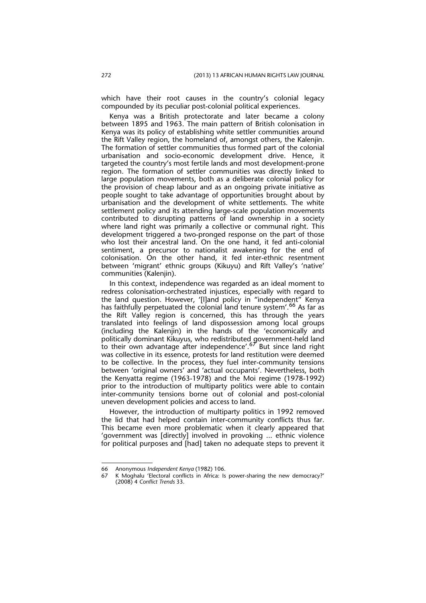which have their root causes in the country's colonial legacy compounded by its peculiar post-colonial political experiences.

Kenya was a British protectorate and later became a colony between 1895 and 1963. The main pattern of British colonisation in Kenya was its policy of establishing white settler communities around the Rift Valley region, the homeland of, amongst others, the Kalenjin. The formation of settler communities thus formed part of the colonial urbanisation and socio-economic development drive. Hence, it targeted the country's most fertile lands and most development-prone region. The formation of settler communities was directly linked to large population movements, both as a deliberate colonial policy for the provision of cheap labour and as an ongoing private initiative as people sought to take advantage of opportunities brought about by urbanisation and the development of white settlements. The white settlement policy and its attending large-scale population movements contributed to disrupting patterns of land ownership in a society where land right was primarily a collective or communal right. This development triggered a two-pronged response on the part of those who lost their ancestral land. On the one hand, it fed anti-colonial sentiment, a precursor to nationalist awakening for the end of colonisation. On the other hand, it fed inter-ethnic resentment between 'migrant' ethnic groups (Kikuyu) and Rift Valley's 'native' communities (Kalenjin).

In this context, independence was regarded as an ideal moment to redress colonisation-orchestrated injustices, especially with regard to the land question. However, '[l]and policy in "independent" Kenya has faithfully perpetuated the colonial land tenure system'.<sup>66</sup> As far as the Rift Valley region is concerned, this has through the years translated into feelings of land dispossession among local groups (including the Kalenjin) in the hands of the 'economically and politically dominant Kikuyus, who redistributed government-held land to their own advantage after independence'.<sup>67</sup> But since land right was collective in its essence, protests for land restitution were deemed to be collective. In the process, they fuel inter-community tensions between 'original owners' and 'actual occupants'. Nevertheless, both the Kenyatta regime (1963-1978) and the Moi regime (1978-1992) prior to the introduction of multiparty politics were able to contain inter-community tensions borne out of colonial and post-colonial uneven development policies and access to land.

However, the introduction of multiparty politics in 1992 removed the lid that had helped contain inter-community conflicts thus far. This became even more problematic when it clearly appeared that 'government was [directly] involved in provoking ... ethnic violence for political purposes and [had] taken no adequate steps to prevent it

<sup>66</sup> Anonymous *Independent Kenya* (1982) 106.

<sup>67</sup> K Moghalu 'Electoral conflicts in Africa: Is power-sharing the new democracy?' (2008) 4 *Conflict Trends* 33.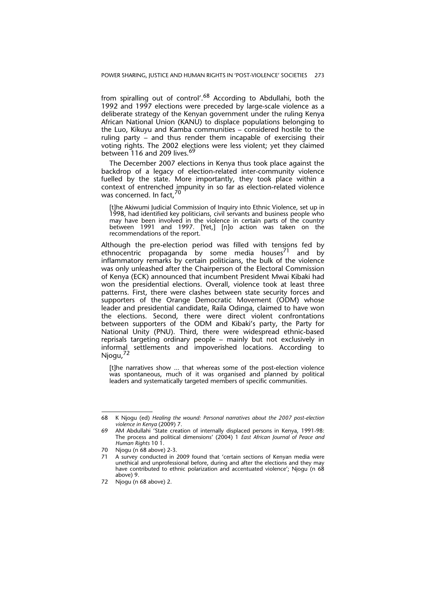from spiralling out of control'.<sup>68</sup> According to Abdullahi, both the 1992 and 1997 elections were preceded by large-scale violence as a deliberate strategy of the Kenyan government under the ruling Kenya African National Union (KANU) to displace populations belonging to the Luo, Kikuyu and Kamba communities – considered hostile to the ruling party – and thus render them incapable of exercising their voting rights. The 2002 elections were less violent; yet they claimed between 116 and 209 lives.<sup>69</sup>

The December 2007 elections in Kenya thus took place against the backdrop of a legacy of election-related inter-community violence fuelled by the state. More importantly, they took place within a context of entrenched impunity in so far as election-related violence was concerned. In fact,<sup>70</sup>

[t]he Akiwumi Judicial Commission of Inquiry into Ethnic Violence, set up in 1998, had identified key politicians, civil servants and business people who may have been involved in the violence in certain parts of the country between 1991 and 1997. [Yet,] [n]o action was taken on the recommendations of the report.

Although the pre-election period was filled with tensions fed by ethnocentric propaganda by some media houses<sup>71</sup> and by inflammatory remarks by certain politicians, the bulk of the violence was only unleashed after the Chairperson of the Electoral Commission of Kenya (ECK) announced that incumbent President Mwai Kibaki had won the presidential elections. Overall, violence took at least three patterns. First, there were clashes between state security forces and supporters of the Orange Democratic Movement (ODM) whose leader and presidential candidate, Raila Odinga, claimed to have won the elections. Second, there were direct violent confrontations between supporters of the ODM and Kibaki's party, the Party for National Unity (PNU). Third, there were widespread ethnic-based reprisals targeting ordinary people – mainly but not exclusively in informal settlements and impoverished locations. According to Njogu,<sup>72</sup>

[t]he narratives show ... that whereas some of the post-election violence was spontaneous, much of it was organised and planned by political leaders and systematically targeted members of specific communities.

<sup>68</sup> K Njogu (ed) *Healing the wound: Personal narratives about the 2007 post-election violence in Kenya* (2009) 7.

<sup>69</sup> AM Abdullahi 'State creation of internally displaced persons in Kenya, 1991-98: The process and political dimensions' (2004) 1 *East African Journal of Peace and Human Rights* 10 1.

<sup>70</sup> Njogu (n 68 above) 2-3.<br>71 A survey conducted in

A survey conducted in 2009 found that 'certain sections of Kenyan media were unethical and unprofessional before, during and after the elections and they may have contributed to ethnic polarization and accentuated violence'; Njogu (n 68 above) 9.

<sup>72</sup> Njogu (n 68 above) 2.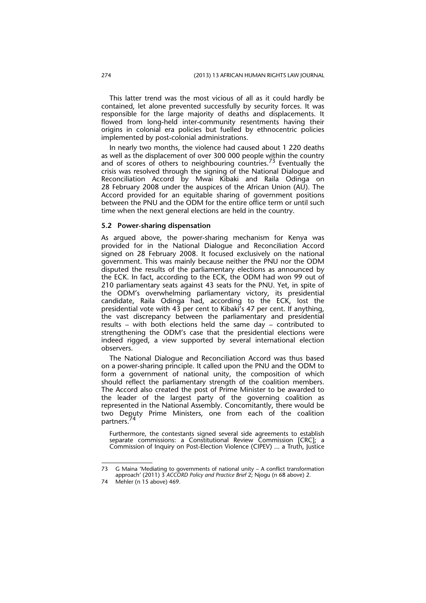This latter trend was the most vicious of all as it could hardly be contained, let alone prevented successfully by security forces. It was responsible for the large majority of deaths and displacements. It flowed from long-held inter-community resentments having their origins in colonial era policies but fuelled by ethnocentric policies implemented by post-colonial administrations.

In nearly two months, the violence had caused about 1 220 deaths as well as the displacement of over 300 000 people within the country and of scores of others to neighbouring countries.<sup>73</sup> Eventually the crisis was resolved through the signing of the National Dialogue and Reconciliation Accord by Mwai Kibaki and Raila Odinga on 28 February 2008 under the auspices of the African Union (AU). The Accord provided for an equitable sharing of government positions between the PNU and the ODM for the entire office term or until such time when the next general elections are held in the country.

#### **5.2 Power-sharing dispensation**

As argued above, the power-sharing mechanism for Kenya was provided for in the National Dialogue and Reconciliation Accord signed on 28 February 2008. It focused exclusively on the national government. This was mainly because neither the PNU nor the ODM disputed the results of the parliamentary elections as announced by the ECK. In fact, according to the ECK, the ODM had won 99 out of 210 parliamentary seats against 43 seats for the PNU. Yet, in spite of the ODM's overwhelming parliamentary victory, its presidential candidate, Raila Odinga had, according to the ECK, lost the presidential vote with 43 per cent to Kibaki's 47 per cent. If anything, the vast discrepancy between the parliamentary and presidential results – with both elections held the same day – contributed to strengthening the ODM's case that the presidential elections were indeed rigged, a view supported by several international election observers.

The National Dialogue and Reconciliation Accord was thus based on a power-sharing principle. It called upon the PNU and the ODM to form a government of national unity, the composition of which should reflect the parliamentary strength of the coalition members. The Accord also created the post of Prime Minister to be awarded to the leader of the largest party of the governing coalition as represented in the National Assembly. Concomitantly, there would be two Deputy Prime Ministers, one from each of the coalition partners.<sup>74</sup>

Furthermore, the contestants signed several side agreements to establish separate commissions: a Constitutional Review Commission [CRC]; a Commission of Inquiry on Post-Election Violence (CIPEV) ... a Truth, Justice

<sup>73</sup> G Maina 'Mediating to governments of national unity – A conflict transformation approach' (2011) 3 *ACCORD Policy and Practice Brief* 2; Njogu (n 68 above) 2.

<sup>74</sup> Mehler (n 15 above) 469.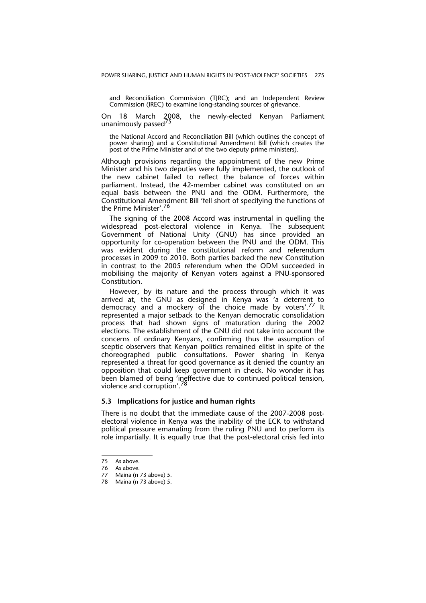and Reconciliation Commission (TJRC); and an Independent Review Commission (IREC) to examine long-standing sources of grievance.

On 18 March 2008, the newly-elected Kenyan Parliament unanimously passed<sup>75</sup>

the National Accord and Reconciliation Bill (which outlines the concept of power sharing) and a Constitutional Amendment Bill (which creates the post of the Prime Minister and of the two deputy prime ministers).

Although provisions regarding the appointment of the new Prime Minister and his two deputies were fully implemented, the outlook of the new cabinet failed to reflect the balance of forces within parliament. Instead, the 42-member cabinet was constituted on an equal basis between the PNU and the ODM. Furthermore, the Constitutional Amendment Bill 'fell short of specifying the functions of the Prime Minister'.<sup>76</sup>

The signing of the 2008 Accord was instrumental in quelling the widespread post-electoral violence in Kenya. The subsequent Government of National Unity (GNU) has since provided an opportunity for co-operation between the PNU and the ODM. This was evident during the constitutional reform and referendum processes in 2009 to 2010. Both parties backed the new Constitution in contrast to the 2005 referendum when the ODM succeeded in mobilising the majority of Kenyan voters against a PNU-sponsored Constitution.

However, by its nature and the process through which it was arrived at, the GNU as designed in Kenya was 'a deterrent to democracy and a mockery of the choice made by voters'.<sup>77</sup> It represented a major setback to the Kenyan democratic consolidation process that had shown signs of maturation during the 2002 elections. The establishment of the GNU did not take into account the concerns of ordinary Kenyans, confirming thus the assumption of sceptic observers that Kenyan politics remained elitist in spite of the choreographed public consultations. Power sharing in Kenya represented a threat for good governance as it denied the country an opposition that could keep government in check. No wonder it has been blamed of being 'ineffective due to continued political tension, violence and corruption'.<sup>78</sup>

### **5.3 Implications for justice and human rights**

There is no doubt that the immediate cause of the 2007-2008 postelectoral violence in Kenya was the inability of the ECK to withstand political pressure emanating from the ruling PNU and to perform its role impartially. It is equally true that the post-electoral crisis fed into

<sup>75</sup> As above.

<sup>76</sup> As above.<br>77 Maina (n

Maina (n 73 above) 5.

<sup>78</sup> Maina (n 73 above) 5.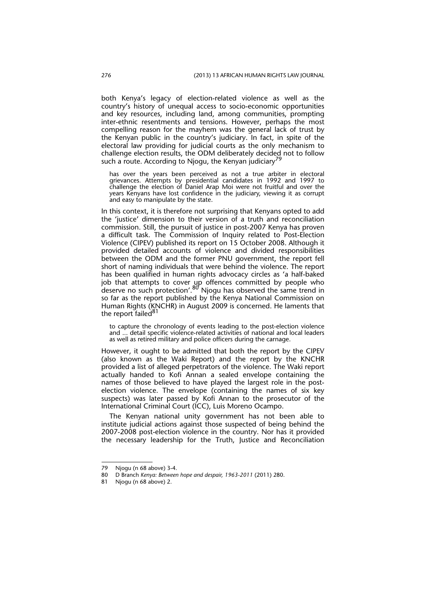both Kenya's legacy of election-related violence as well as the country's history of unequal access to socio-economic opportunities and key resources, including land, among communities, prompting inter-ethnic resentments and tensions. However, perhaps the most compelling reason for the mayhem was the general lack of trust by the Kenyan public in the country's judiciary. In fact, in spite of the electoral law providing for judicial courts as the only mechanism to challenge election results, the ODM deliberately decided not to follow such a route. According to Njogu, the Kenyan judiciary<sup>79</sup>

has over the years been perceived as not a true arbiter in electoral grievances. Attempts by presidential candidates in 1992 and 1997 to challenge the election of Daniel Arap Moi were not fruitful and over the years Kenyans have lost confidence in the judiciary, viewing it as corrupt and easy to manipulate by the state.

In this context, it is therefore not surprising that Kenyans opted to add the 'justice' dimension to their version of a truth and reconciliation commission. Still, the pursuit of justice in post-2007 Kenya has proven a difficult task. The Commission of Inquiry related to Post-Election Violence (CIPEV) published its report on 15 October 2008. Although it provided detailed accounts of violence and divided responsibilities between the ODM and the former PNU government, the report fell short of naming individuals that were behind the violence. The report has been qualified in human rights advocacy circles as 'a half-baked job that attempts to cover up offences committed by people who deserve no such protection'. $^{80}$  Njogu has observed the same trend in so far as the report published by the Kenya National Commission on Human Rights (KNCHR) in August 2009 is concerned. He laments that the report failed<sup>81</sup>

to capture the chronology of events leading to the post-election violence and ... detail specific violence-related activities of national and local leaders as well as retired military and police officers during the carnage.

However, it ought to be admitted that both the report by the CIPEV (also known as the Waki Report) and the report by the KNCHR provided a list of alleged perpetrators of the violence. The Waki report actually handed to Kofi Annan a sealed envelope containing the names of those believed to have played the largest role in the postelection violence. The envelope (containing the names of six key suspects) was later passed by Kofi Annan to the prosecutor of the International Criminal Court (ICC), Luis Moreno Ocampo.

The Kenyan national unity government has not been able to institute judicial actions against those suspected of being behind the 2007-2008 post-election violence in the country. Nor has it provided the necessary leadership for the Truth, Justice and Reconciliation

<sup>79</sup> Njogu (n 68 above) 3-4.<br>80 D Branch Kenva: Between

<sup>80</sup> D Branch *Kenya: Between hope and despair, 1963-2011* (2011) 280.

<sup>81</sup> Njogu (n 68 above) 2.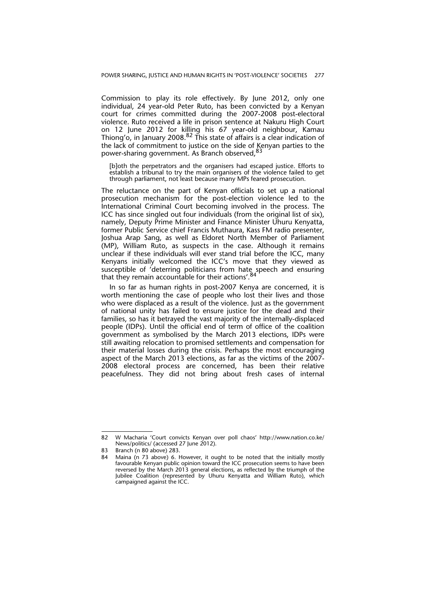Commission to play its role effectively. By June 2012, only one individual, 24 year-old Peter Ruto, has been convicted by a Kenyan court for crimes committed during the 2007-2008 post-electoral violence. Ruto received a life in prison sentence at Nakuru High Court on 12 June 2012 for killing his 67 year-old neighbour, Kamau Thiong'o, in January 2008.<sup>82</sup> This state of affairs is a clear indication of the lack of commitment to justice on the side of Kenyan parties to the power-sharing government. As Branch observed,<sup>8</sup>

[b]oth the perpetrators and the organisers had escaped justice. Efforts to establish a tribunal to try the main organisers of the violence failed to get through parliament, not least because many MPs feared prosecution.

The reluctance on the part of Kenyan officials to set up a national prosecution mechanism for the post-election violence led to the International Criminal Court becoming involved in the process. The ICC has since singled out four individuals (from the original list of six), namely, Deputy Prime Minister and Finance Minister Uhuru Kenyatta, former Public Service chief Francis Muthaura, Kass FM radio presenter, Joshua Arap Sang, as well as Eldoret North Member of Parliament (MP), William Ruto, as suspects in the case. Although it remains unclear if these individuals will ever stand trial before the ICC, many Kenyans initially welcomed the ICC's move that they viewed as susceptible of 'deterring politicians from hate speech and ensuring that they remain accountable for their actions'.<sup>84</sup>

In so far as human rights in post-2007 Kenya are concerned, it is worth mentioning the case of people who lost their lives and those who were displaced as a result of the violence. Just as the government of national unity has failed to ensure justice for the dead and their families, so has it betrayed the vast majority of the internally-displaced people (IDPs). Until the official end of term of office of the coalition government as symbolised by the March 2013 elections, IDPs were still awaiting relocation to promised settlements and compensation for their material losses during the crisis. Perhaps the most encouraging aspect of the March 2013 elections, as far as the victims of the 2007- 2008 electoral process are concerned, has been their relative peacefulness. They did not bring about fresh cases of internal

<sup>82</sup> W Macharia 'Court convicts Kenyan over poll chaos' http://www.nation.co.ke/ News/politics/ (accessed 27 June 2012).

<sup>83</sup> Branch (n 80 above) 283.

<sup>84</sup> Maina (n 73 above) 6. However, it ought to be noted that the initially mostly favourable Kenyan public opinion toward the ICC prosecution seems to have been reversed by the March 2013 general elections, as reflected by the triumph of the Jubilee Coalition (represented by Uhuru Kenyatta and William Ruto), which campaigned against the ICC.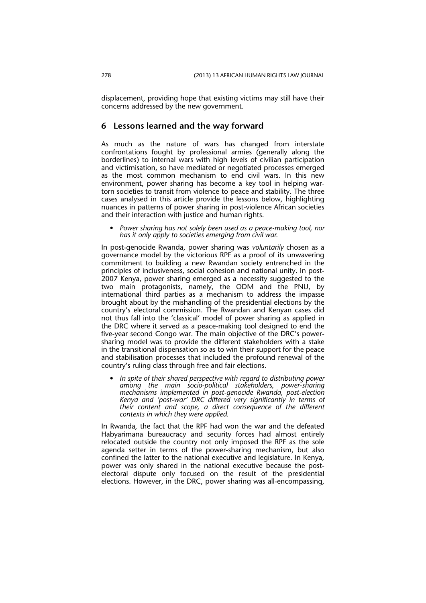displacement, providing hope that existing victims may still have their concerns addressed by the new government.

### **6 Lessons learned and the way forward**

As much as the nature of wars has changed from interstate confrontations fought by professional armies (generally along the borderlines) to internal wars with high levels of civilian participation and victimisation, so have mediated or negotiated processes emerged as the most common mechanism to end civil wars. In this new environment, power sharing has become a key tool in helping wartorn societies to transit from violence to peace and stability. The three cases analysed in this article provide the lessons below, highlighting nuances in patterns of power sharing in post-violence African societies and their interaction with justice and human rights.

*• Power sharing has not solely been used as a peace-making tool, nor has it only apply to societies emerging from civil war.*

In post-genocide Rwanda, power sharing was *voluntarily* chosen as a governance model by the victorious RPF as a proof of its unwavering commitment to building a new Rwandan society entrenched in the principles of inclusiveness, social cohesion and national unity. In post-2007 Kenya, power sharing emerged as a necessity suggested to the two main protagonists, namely, the ODM and the PNU, by international third parties as a mechanism to address the impasse brought about by the mishandling of the presidential elections by the country's electoral commission. The Rwandan and Kenyan cases did not thus fall into the 'classical' model of power sharing as applied in the DRC where it served as a peace-making tool designed to end the five-year second Congo war. The main objective of the DRC's powersharing model was to provide the different stakeholders with a stake in the transitional dispensation so as to win their support for the peace and stabilisation processes that included the profound renewal of the country's ruling class through free and fair elections.

*• In spite of their shared perspective with regard to distributing power among the main socio-political stakeholders, power-sharing mechanisms implemented in post-genocide Rwanda, post-election Kenya and 'post-war' DRC differed very significantly in terms of their content and scope, a direct consequence of the different contexts in which they were applied.* 

In Rwanda, the fact that the RPF had won the war and the defeated Habyarimana bureaucracy and security forces had almost entirely relocated outside the country not only imposed the RPF as the sole agenda setter in terms of the power-sharing mechanism, but also confined the latter to the national executive and legislature. In Kenya, power was only shared in the national executive because the postelectoral dispute only focused on the result of the presidential elections. However, in the DRC, power sharing was all-encompassing,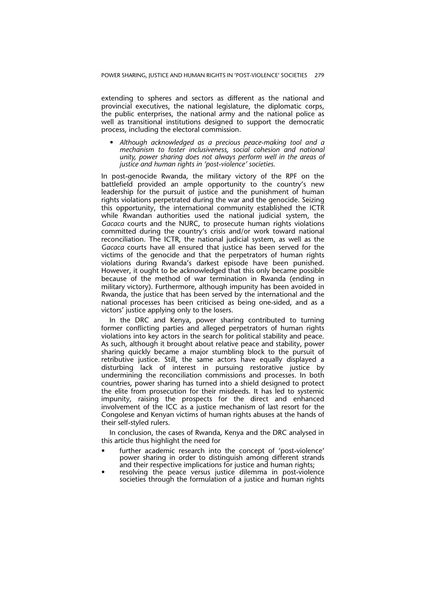extending to spheres and sectors as different as the national and provincial executives, the national legislature, the diplomatic corps, the public enterprises, the national army and the national police as well as transitional institutions designed to support the democratic process, including the electoral commission.

*• Although acknowledged as a precious peace-making tool and a mechanism to foster inclusiveness, social cohesion and national unity, power sharing does not always perform well in the areas of justice and human rights in 'post-violence' societies.*

In post-genocide Rwanda, the military victory of the RPF on the battlefield provided an ample opportunity to the country's new leadership for the pursuit of justice and the punishment of human rights violations perpetrated during the war and the genocide. Seizing this opportunity, the international community established the ICTR while Rwandan authorities used the national judicial system, the *Gacaca* courts and the NURC, to prosecute human rights violations committed during the country's crisis and/or work toward national reconciliation. The ICTR, the national judicial system, as well as the *Gacaca* courts have all ensured that justice has been served for the victims of the genocide and that the perpetrators of human rights violations during Rwanda's darkest episode have been punished. However, it ought to be acknowledged that this only became possible because of the method of war termination in Rwanda (ending in military victory). Furthermore, although impunity has been avoided in Rwanda, the justice that has been served by the international and the national processes has been criticised as being one-sided, and as a victors' justice applying only to the losers.

In the DRC and Kenya, power sharing contributed to turning former conflicting parties and alleged perpetrators of human rights violations into key actors in the search for political stability and peace. As such, although it brought about relative peace and stability, power sharing quickly became a major stumbling block to the pursuit of retributive justice. Still, the same actors have equally displayed a disturbing lack of interest in pursuing restorative justice by undermining the reconciliation commissions and processes. In both countries, power sharing has turned into a shield designed to protect the elite from prosecution for their misdeeds. It has led to systemic impunity, raising the prospects for the direct and enhanced involvement of the ICC as a justice mechanism of last resort for the Congolese and Kenyan victims of human rights abuses at the hands of their self-styled rulers.

In conclusion, the cases of Rwanda, Kenya and the DRC analysed in this article thus highlight the need for

- further academic research into the concept of 'post-violence' power sharing in order to distinguish among different strands and their respective implications for justice and human rights;
- resolving the peace versus justice dilemma in post-violence societies through the formulation of a justice and human rights